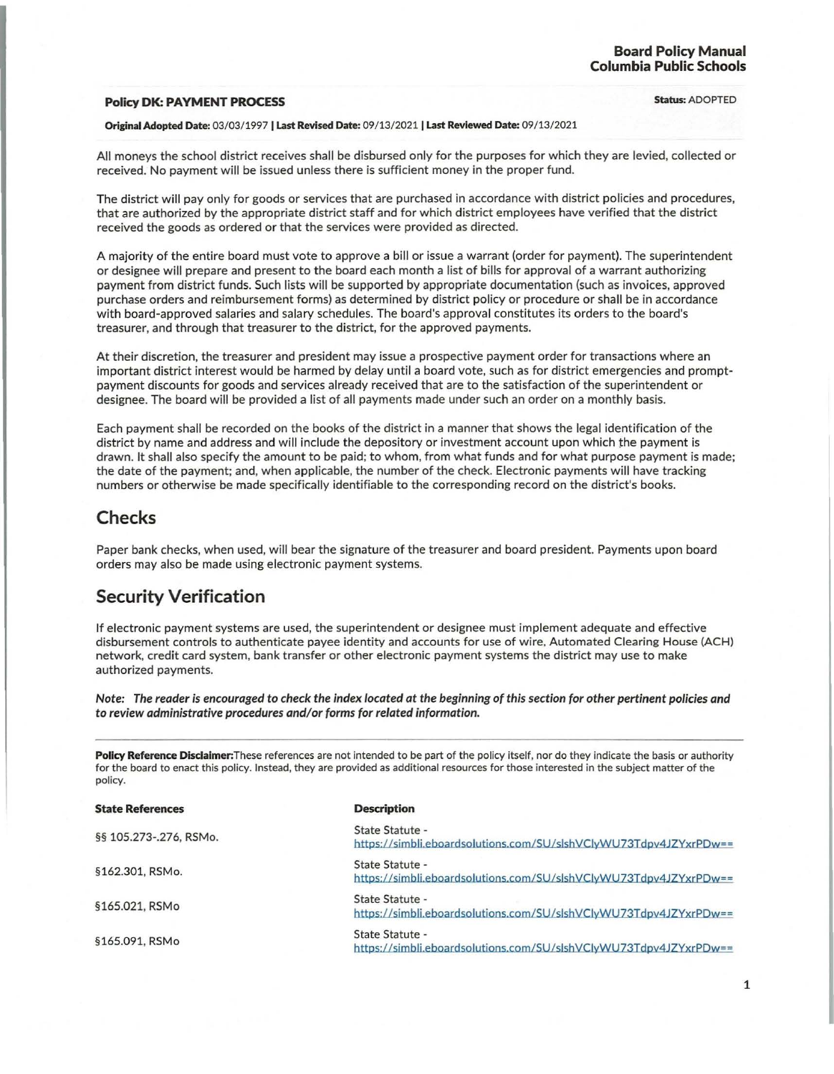## **Policy DK: PAYMENT PROCESS Status: ADOPTED**

## Original Adopted Date: 03/03/ 1997 I Last Revised Date: 09/13/2021 I Last Reviewed Date: 09/ 13/2021

All moneys the school district receives shall be disbursed only for the purposes for which they are levied, collected or received. No payment will be issued unless there is sufficient money in the proper fund.

The district will pay only for goods or services that are purchased in accordance with district policies and procedures, that are authorized by the appropriate district staff and for which district employees have verified that the district received the goods as ordered or that the services were provided as directed.

A majority of the entire board must vote to approve a bill or issue a warrant (order for payment). The superintendent or designee will prepare and present to the board each month a list of bills for approval of a warrant authorizing payment from district funds. Such lists will be supported by appropriate documentation (such as invoices, approved purchase orders and reimbursement forms) as determined by district policy or procedure or shall be in accordance with board-approved salaries and salary schedules. The board's approval constitutes its orders to the board's treasurer, and through that treasurer to the district, for the approved payments.

At their discretion, the treasurer and president may issue a prospective payment order for transactions where an important district interest would be harmed by delay until a board vote, such as for district emergencies and promptpayment discounts for goods and services already received that are to the satisfaction of the superintendent or designee. The board will be provided a list of all payments made under such an order on a monthly basis.

Each payment shall be recorded on the books of the district in a manner that shows the legal identification of the district by name and address and will include the depository or investment account upon which the payment is drawn. It shall also specify the amount to be paid; to whom, from what funds and for what purpose payment is made; the date of the payment; and, when applicable, the number of the check. Electronic payments will have tracking numbers or otherwise be made specifically identifiable to the corresponding record on the district's books.

## **Checks**

Paper bank checks, when used, will bear the signature of the treasurer and board president. Payments upon board orders may also be made using electronic payment systems.

## **Security Verification**

If electronic payment systems are used, the superintendent or designee must implement adequate and effective disbursement controls to authenticate payee identity and accounts for use of wire. Automated Clearing House (ACH) network, credit card system, bank transfer or other electronic payment systems the district may use to make authorized payments.

Note: The reader is encouraged to check the index located at the beginning of this section for other pertinent policies and to review administrative procedures and/or forms for related information.

Policy Reference Disclaimer: These references are not intended to be part of the policy itself, nor do they indicate the basis or authority for the board to enact this policy. Instead, they are provided as additional resources for those interested in the subject matter of the policy.

| <b>State References</b> | <b>Description</b>                                                                   |
|-------------------------|--------------------------------------------------------------------------------------|
| §§ 105.273-.276, RSMo.  | State Statute -<br>https://simbli.eboardsolutions.com/SU/slshVClvWU73Tdpv4JZYxrPDw== |
| §162.301, RSMo.         | State Statute -<br>https://simbli.eboardsolutions.com/SU/slshVClyWU73Tdpv4JZYxrPDw== |
| §165.021, RSMo          | State Statute -<br>https://simbli.eboardsolutions.com/SU/slshVClyWU73Tdpv4JZYxrPDw== |
| §165.091, RSMo          | State Statute -<br>https://simbli.eboardsolutions.com/SU/slshVClvWU73Tdpv4JZYxrPDw== |